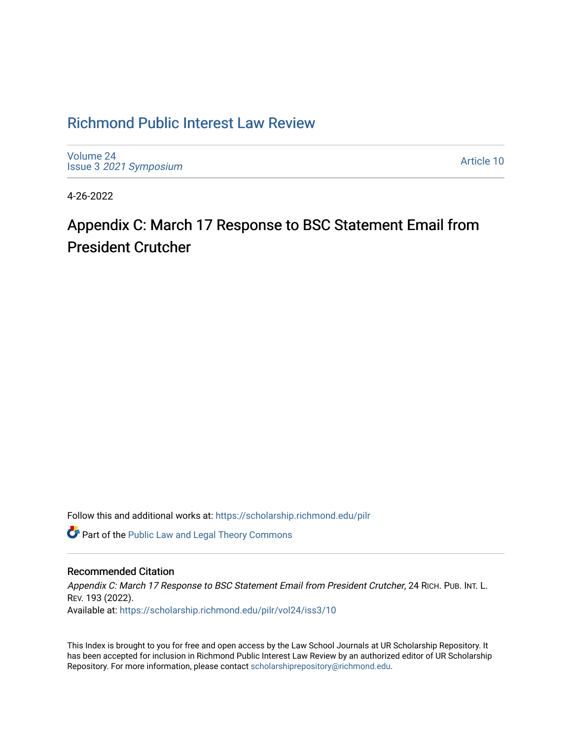## [Richmond Public Interest Law Review](https://scholarship.richmond.edu/pilr)

[Volume 24](https://scholarship.richmond.edu/pilr/vol24) Issue 3 [2021 Symposium](https://scholarship.richmond.edu/pilr/vol24/iss3)

[Article 10](https://scholarship.richmond.edu/pilr/vol24/iss3/10) 

4-26-2022

# Appendix C: March 17 Response to BSC Statement Email from President Crutcher

Follow this and additional works at: [https://scholarship.richmond.edu/pilr](https://scholarship.richmond.edu/pilr?utm_source=scholarship.richmond.edu%2Fpilr%2Fvol24%2Fiss3%2F10&utm_medium=PDF&utm_campaign=PDFCoverPages) 

Part of the [Public Law and Legal Theory Commons](http://network.bepress.com/hgg/discipline/871?utm_source=scholarship.richmond.edu%2Fpilr%2Fvol24%2Fiss3%2F10&utm_medium=PDF&utm_campaign=PDFCoverPages) 

#### Recommended Citation

Appendix C: March 17 Response to BSC Statement Email from President Crutcher, 24 RICH. PUB. INT. L. REV. 193 (2022). Available at: [https://scholarship.richmond.edu/pilr/vol24/iss3/10](https://scholarship.richmond.edu/pilr/vol24/iss3/10?utm_source=scholarship.richmond.edu%2Fpilr%2Fvol24%2Fiss3%2F10&utm_medium=PDF&utm_campaign=PDFCoverPages)

This Index is brought to you for free and open access by the Law School Journals at UR Scholarship Repository. It has been accepted for inclusion in Richmond Public Interest Law Review by an authorized editor of UR Scholarship Repository. For more information, please contact [scholarshiprepository@richmond.edu](mailto:scholarshiprepository@richmond.edu).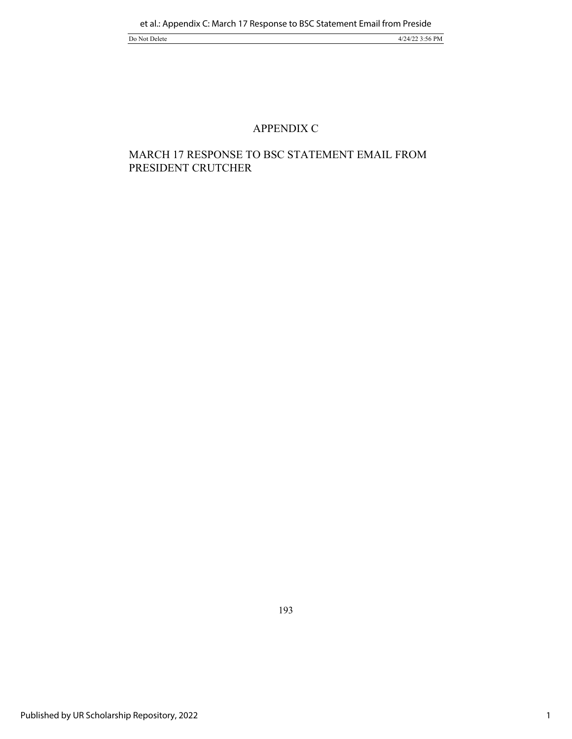#### APPENDIX C

### MARCH 17 RESPONSE TO BSC STATEMENT EMAIL FROM PRESIDENT CRUTCHER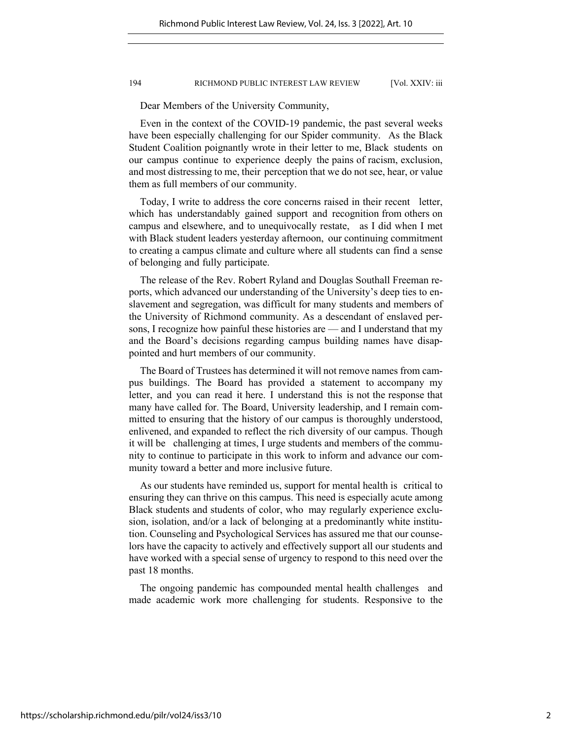#### 194 RICHMOND PUBLIC INTEREST LAW REVIEW [Vol. XXIV: iii

Dear Members of the University Community,

Even in the context of the COVID-19 pandemic, the past several weeks have been especially challenging for our Spider community. As the Black Student Coalition poignantly wrote in their letter to me, Black students on our campus continue to experience deeply the pains of racism, exclusion, and most distressing to me, their perception that we do not see, hear, or value them as full members of our community.

Today, I write to address the core concerns raised in their recent letter, which has understandably gained support and recognition from others on campus and elsewhere, and to unequivocally restate, as I did when I met with Black student leaders yesterday afternoon, our continuing commitment to creating a campus climate and culture where all students can find a sense of belonging and fully participate.

The release of the Rev. Robert Ryland and Douglas Southall Freeman reports, which advanced our understanding of the University's deep ties to enslavement and segregation, was difficult for many students and members of the University of Richmond community. As a descendant of enslaved persons, I recognize how painful these histories are — and I understand that my and the Board's decisions regarding campus building names have disappointed and hurt members of our community.

The Board of Trustees has determined it will not remove names from campus buildings. The Board has provided a statement to accompany my letter, and you can read it here. I understand this is not the response that many have called for. The Board, University leadership, and I remain committed to ensuring that the history of our campus is thoroughly understood, enlivened, and expanded to reflect the rich diversity of our campus. Though it will be challenging at times, I urge students and members of the community to continue to participate in this work to inform and advance our community toward a better and more inclusive future.

As our students have reminded us, support for mental health is critical to ensuring they can thrive on this campus. This need is especially acute among Black students and students of color, who may regularly experience exclusion, isolation, and/or a lack of belonging at a predominantly white institution. Counseling and Psychological Services has assured me that our counselors have the capacity to actively and effectively support all our students and have worked with a special sense of urgency to respond to this need over the past 18 months.

The ongoing pandemic has compounded mental health challenges and made academic work more challenging for students. Responsive to the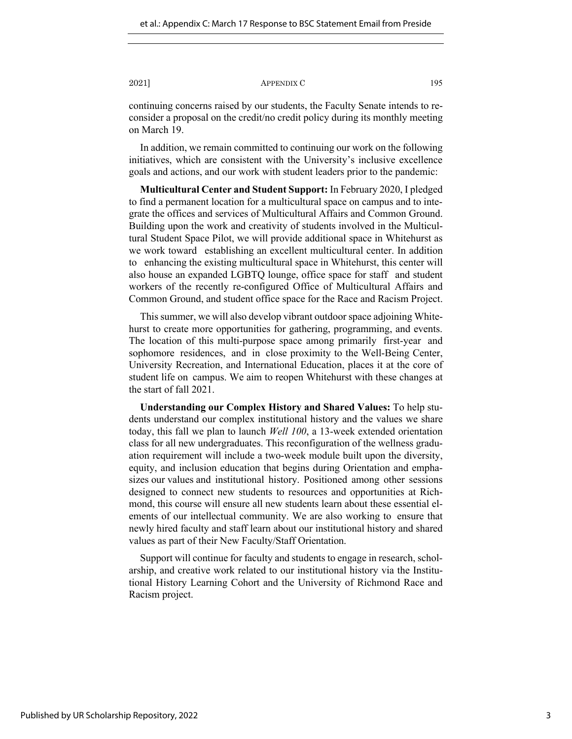2021] **APPENDIX C** 195

continuing concerns raised by our students, the Faculty Senate intends to reconsider a proposal on the credit/no credit policy during its monthly meeting on March 19.

In addition, we remain committed to continuing our work on the following initiatives, which are consistent with the University's inclusive excellence goals and actions, and our work with student leaders prior to the pandemic:

**Multicultural Center and Student Support:** In February 2020, I pledged to find a permanent location for a multicultural space on campus and to integrate the offices and services of Multicultural Affairs and Common Ground. Building upon the work and creativity of students involved in the Multicultural Student Space Pilot, we will provide additional space in Whitehurst as we work toward establishing an excellent multicultural center. In addition to enhancing the existing multicultural space in Whitehurst, this center will also house an expanded LGBTQ lounge, office space for staff and student workers of the recently re-configured Office of Multicultural Affairs and Common Ground, and student office space for the Race and Racism Project.

This summer, we will also develop vibrant outdoor space adjoining Whitehurst to create more opportunities for gathering, programming, and events. The location of this multi-purpose space among primarily first-year and sophomore residences, and in close proximity to the Well-Being Center, University Recreation, and International Education, places it at the core of student life on campus. We aim to reopen Whitehurst with these changes at the start of fall 2021.

**Understanding our Complex History and Shared Values:** To help students understand our complex institutional history and the values we share today, this fall we plan to launch *Well 100*, a 13-week extended orientation class for all new undergraduates. This reconfiguration of the wellness graduation requirement will include a two-week module built upon the diversity, equity, and inclusion education that begins during Orientation and emphasizes our values and institutional history. Positioned among other sessions designed to connect new students to resources and opportunities at Richmond, this course will ensure all new students learn about these essential elements of our intellectual community. We are also working to ensure that newly hired faculty and staff learn about our institutional history and shared values as part of their New Faculty/Staff Orientation.

Support will continue for faculty and students to engage in research, scholarship, and creative work related to our institutional history via the Institutional History Learning Cohort and the University of Richmond Race and Racism project.